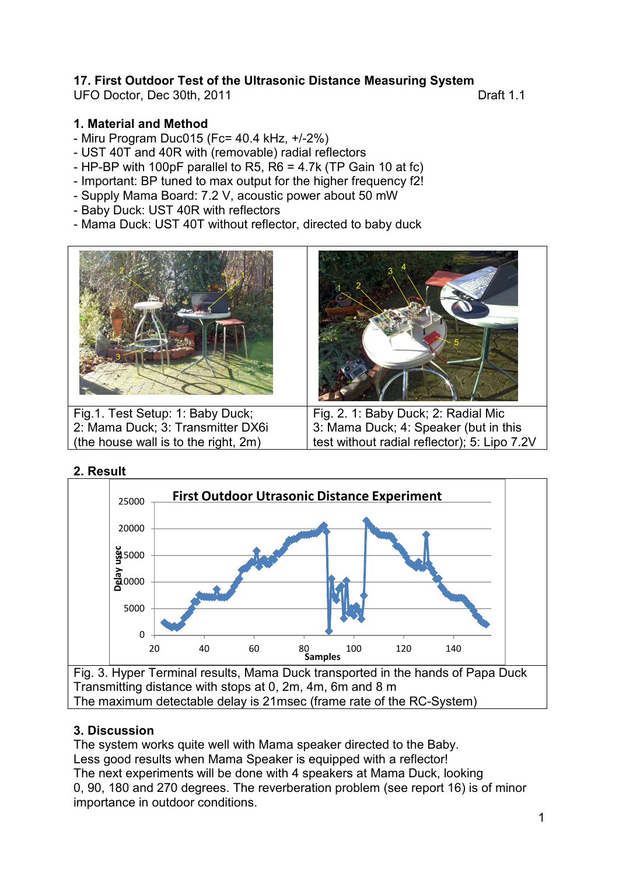# **17. First Outdoor Test of the Ultrasonic Distance Measuring System**

UFO Doctor, Dec 30th, 2011 **Draft 1.1** 

#### **1. Material and Method**

- Miru Program Duc015 (Fc= 40.4 kHz, +/-2%)
- UST 40T and 40R with (removable) radial reflectors
- HP-BP with 100pF parallel to R5, R6 = 4.7k (TP Gain 10 at fc)
- Important: BP tuned to max output for the higher frequency f2!
- Supply Mama Board: 7.2 V, acoustic power about 50 mW
- Baby Duck: UST 40R with reflectors
- Mama Duck: UST 40T without reflector, directed to baby duck



Fig.1. Test Setup: 1: Baby Duck; 2: Mama Duck; 3: Transmitter DX6i (the house wall is to the right, 2m)



Fig. 2. 1: Baby Duck; 2: Radial Mic 3: Mama Duck; 4: Speaker (but in this test without radial reflector); 5: Lipo 7.2V





1 2 3 4

Fig. 3. Hyper Terminal results, Mama Duck transported in the hands of Papa Duck Transmitting distance with stops at 0, 2m, 4m, 6m and 8 m The maximum detectable delay is 21msec (frame rate of the RC-System)

### **3. Discussion**

The system works quite well with Mama speaker directed to the Baby. Less good results when Mama Speaker is equipped with a reflector! The next experiments will be done with 4 speakers at Mama Duck, looking 0, 90, 180 and 270 degrees. The reverberation problem (see report 16) is of minor importance in outdoor conditions.